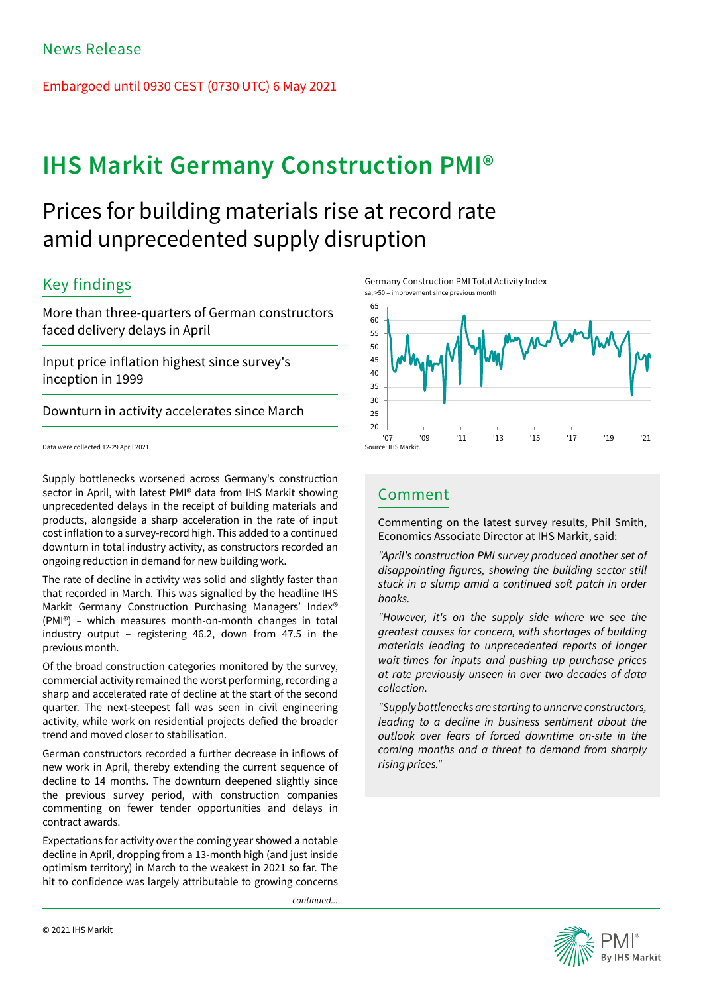Embargoed until 0930 CEST (0730 UTC) 6 May 2021

# **IHS Markit Germany Construction PMI®**

## Prices for building materials rise at record rate amid unprecedented supply disruption

## Key findings

More than three-quarters of German constructors faced delivery delays in April

Input price inflation highest since survey's inception in 1999

Downturn in activity accelerates since March

Data were collected 12-29 April 2021.

Supply bottlenecks worsened across Germany's construction sector in April, with latest PMI® data from IHS Markit showing unprecedented delays in the receipt of building materials and products, alongside a sharp acceleration in the rate of input cost inflation to a survey-record high. This added to a continued downturn in total industry activity, as constructors recorded an ongoing reduction in demand for new building work.

The rate of decline in activity was solid and slightly faster than that recorded in March. This was signalled by the headline IHS Markit Germany Construction Purchasing Managers' Index® (PMI®) – which measures month-on-month changes in total industry output – registering 46.2, down from 47.5 in the previous month.

Of the broad construction categories monitored by the survey, commercial activity remained the worst performing, recording a sharp and accelerated rate of decline at the start of the second quarter. The next-steepest fall was seen in civil engineering activity, while work on residential projects defied the broader trend and moved closer to stabilisation.

German constructors recorded a further decrease in inflows of new work in April, thereby extending the current sequence of decline to 14 months. The downturn deepened slightly since the previous survey period, with construction companies commenting on fewer tender opportunities and delays in contract awards.

Expectations for activity over the coming year showed a notable decline in April, dropping from a 13-month high (and just inside optimism territory) in March to the weakest in 2021 so far. The hit to confidence was largely attributable to growing concerns

continued...





## Comment

Commenting on the latest survey results, Phil Smith, Economics Associate Director at IHS Markit, said:

*"April's construction PMI survey produced another set of*  disappointing figures, showing the building sector still stuck in a slump amid a continued soft patch in order books.

"However, it's on the supply side where we see the greatest causes for concern, with shortages of building *materials leading to unprecedented reports of longer*  wait-times for inputs and pushing up purchase prices at rate previously unseen in over two decades of data collection.

"Supply bottlenecks are starting to unnerve constructors, leading to a decline in business sentiment about the outlook over fears of forced downtime on-site in the *coming months and a threat to demand from sharply*  rising prices."